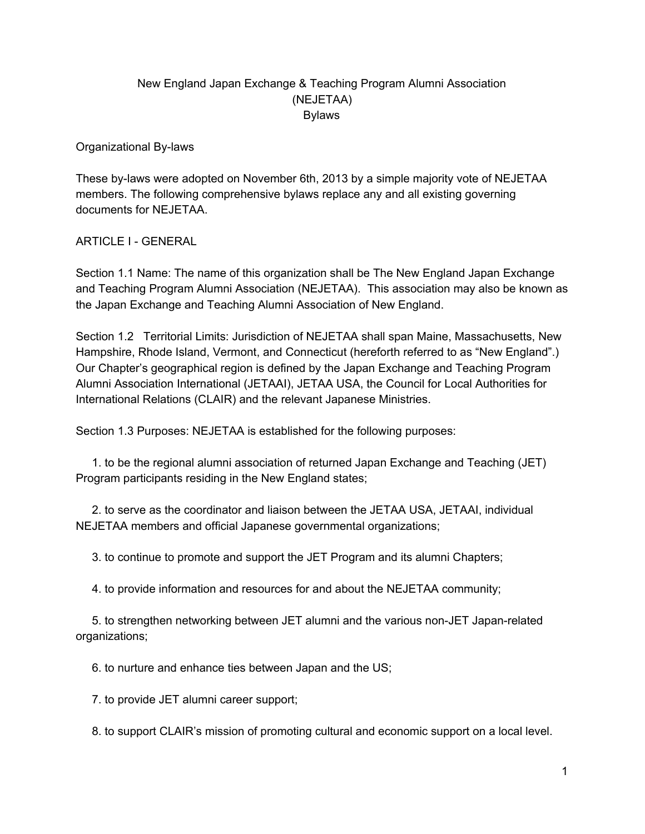## New England Japan Exchange & Teaching Program Alumni Association (NEJETAA) Bylaws

Organizational By-laws

These by-laws were adopted on November 6th, 2013 by a simple majority vote of NEJETAA members. The following comprehensive bylaws replace any and all existing governing documents for NEJETAA.

### ARTICLE I - GENERAL

Section 1.1 Name: The name of this organization shall be The New England Japan Exchange and Teaching Program Alumni Association (NEJETAA). This association may also be known as the Japan Exchange and Teaching Alumni Association of New England.

Section 1.2 Territorial Limits: Jurisdiction of NEJETAA shall span Maine, Massachusetts, New Hampshire, Rhode Island, Vermont, and Connecticut (hereforth referred to as "New England".) Our Chapter's geographical region is defined by the Japan Exchange and Teaching Program Alumni Association International (JETAAI), JETAA USA, the Council for Local Authorities for International Relations (CLAIR) and the relevant Japanese Ministries.

Section 1.3 Purposes: NEJETAA is established for the following purposes:

1. to be the regional alumni association of returned Japan Exchange and Teaching (JET) Program participants residing in the New England states;

2. to serve as the coordinator and liaison between the JETAA USA, JETAAI, individual NEJETAA members and official Japanese governmental organizations;

3. to continue to promote and support the JET Program and its alumni Chapters;

4. to provide information and resources for and about the NEJETAA community;

5. to strengthen networking between JET alumni and the various non-JET Japan-related organizations;

6. to nurture and enhance ties between Japan and the US;

7. to provide JET alumni career support;

8. to support CLAIR's mission of promoting cultural and economic support on a local level.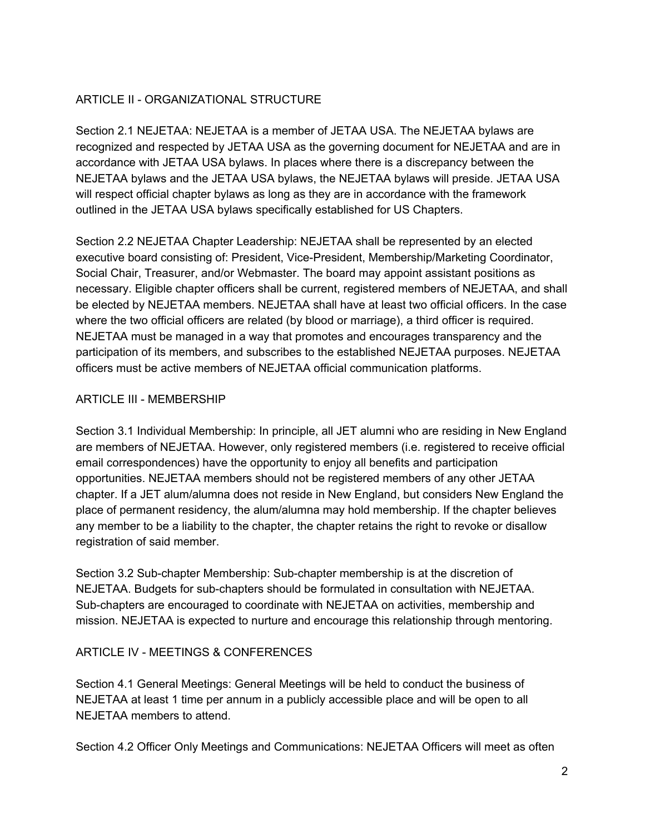## **ARTICLE II - ORGANIZATIONAL STRUCTURE**

Section 2.1 NEJETAA: NEJETAA is a member of JETAA USA. The NEJETAA bylaws are recognized and respected by JETAA USA as the governing document for NEJETAA and are in accordance with JETAA USA bylaws. In places where there is a discrepancy between the NEJETAA bylaws and the JETAA USA bylaws, the NEJETAA bylaws will preside. JETAA USA will respect official chapter bylaws as long as they are in accordance with the framework outlined in the JETAA USA bylaws specifically established for US Chapters.

Section 2.2 NEJETAA Chapter Leadership: NEJETAA shall be represented by an elected executive board consisting of: President, Vice-President, Membership/Marketing Coordinator, Social Chair, Treasurer, and/or Webmaster. The board may appoint assistant positions as necessary. Eligible chapter officers shall be current, registered members of NEJETAA, and shall be elected by NEJETAA members. NEJETAA shall have at least two official officers. In the case where the two official officers are related (by blood or marriage), a third officer is required. NEJETAA must be managed in a way that promotes and encourages transparency and the participation of its members, and subscribes to the established NEJETAA purposes. NEJETAA officers must be active members of NEJETAA official communication platforms.

#### **ARTICLE III - MEMBERSHIP**

Section 3.1 Individual Membership: In principle, all JET alumni who are residing in New England are members of NEJETAA. However, only registered members (i.e. registered to receive official email correspondences) have the opportunity to enjoy all benefits and participation opportunities. NEJETAA members should not be registered members of any other JETAA chapter. If a JET alum/alumna does not reside in New England, but considers New England the place of permanent residency, the alum/alumna may hold membership. If the chapter believes any member to be a liability to the chapter, the chapter retains the right to revoke or disallow registration of said member.

Section 3.2 Sub-chapter Membership: Sub-chapter membership is at the discretion of NEJETAA. Budgets for sub-chapters should be formulated in consultation with NEJETAA. Sub-chapters are encouraged to coordinate with NEJETAA on activities, membership and mission. NEJETAA is expected to nurture and encourage this relationship through mentoring.

### ARTICLE IV - MEETINGS & CONFERENCES

Section 4.1 General Meetings: General Meetings will be held to conduct the business of NEJETAA at least 1 time per annum in a publicly accessible place and will be open to all NEJETAA members to attend.

Section 4.2 Officer Only Meetings and Communications: NEJETAA Officers will meet as often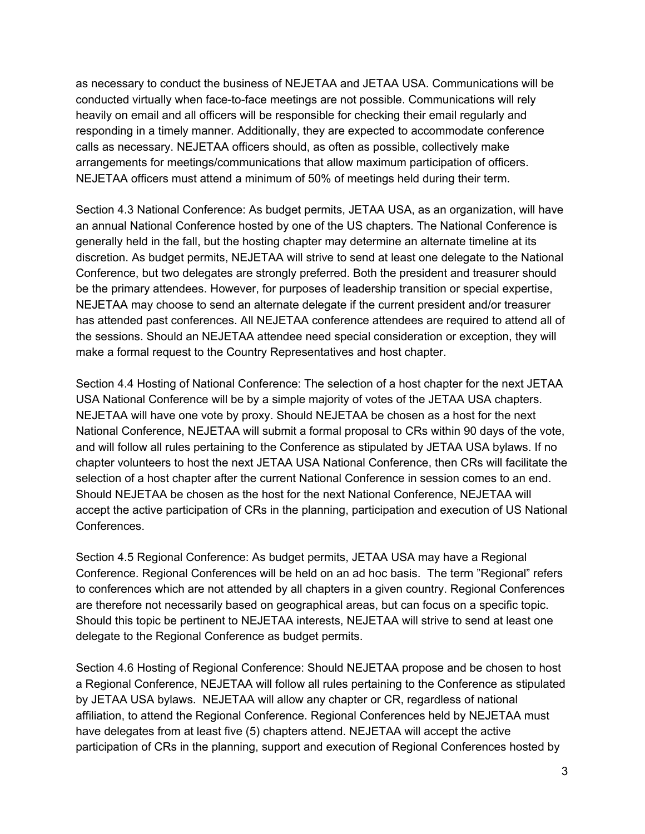as necessary to conduct the business of NEJETAA and JETAA USA. Communications will be conducted virtually when face-to-face meetings are not possible. Communications will rely heavily on email and all officers will be responsible for checking their email regularly and responding in a timely manner. Additionally, they are expected to accommodate conference calls as necessary. NEJETAA officers should, as often as possible, collectively make arrangements for meetings/communications that allow maximum participation of officers. NEJETAA officers must attend a minimum of 50% of meetings held during their term.

Section 4.3 National Conference: As budget permits, JETAA USA, as an organization, will have an annual National Conference hosted by one of the US chapters. The National Conference is generally held in the fall, but the hosting chapter may determine an alternate timeline at its discretion. As budget permits, NEJETAA will strive to send at least one delegate to the National Conference, but two delegates are strongly preferred. Both the president and treasurer should be the primary attendees. However, for purposes of leadership transition or special expertise, NEJETAA may choose to send an alternate delegate if the current president and/or treasurer has attended past conferences. All NEJETAA conference attendees are required to attend all of the sessions. Should an NEJETAA attendee need special consideration or exception, they will make a formal request to the Country Representatives and host chapter.

Section 4.4 Hosting of National Conference: The selection of a host chapter for the next JETAA USA National Conference will be by a simple majority of votes of the JETAA USA chapters. NEJETAA will have one vote by proxy. Should NEJETAA be chosen as a host for the next National Conference, NEJETAA will submit a formal proposal to CRs within 90 days of the vote, and will follow all rules pertaining to the Conference as stipulated by JETAA USA bylaws. If no chapter volunteers to host the next JETAA USA National Conference, then CRs will facilitate the selection of a host chapter after the current National Conference in session comes to an end. Should NEJETAA be chosen as the host for the next National Conference, NEJETAA will accept the active participation of CRs in the planning, participation and execution of US National Conferences.

Section 4.5 Regional Conference: As budget permits, JETAA USA may have a Regional Conference. Regional Conferences will be held on an ad hoc basis. The term "Regional" refers to conferences which are not attended by all chapters in a given country. Regional Conferences are therefore not necessarily based on geographical areas, but can focus on a specific topic. Should this topic be pertinent to NEJETAA interests, NEJETAA will strive to send at least one delegate to the Regional Conference as budget permits.

Section 4.6 Hosting of Regional Conference: Should NEJETAA propose and be chosen to host a Regional Conference, NEJETAA will follow all rules pertaining to the Conference as stipulated by JETAA USA bylaws. NEJETAA will allow any chapter or CR, regardless of national affiliation, to attend the Regional Conference. Regional Conferences held by NEJETAA must have delegates from at least five (5) chapters attend. NEJETAA will accept the active participation of CRs in the planning, support and execution of Regional Conferences hosted by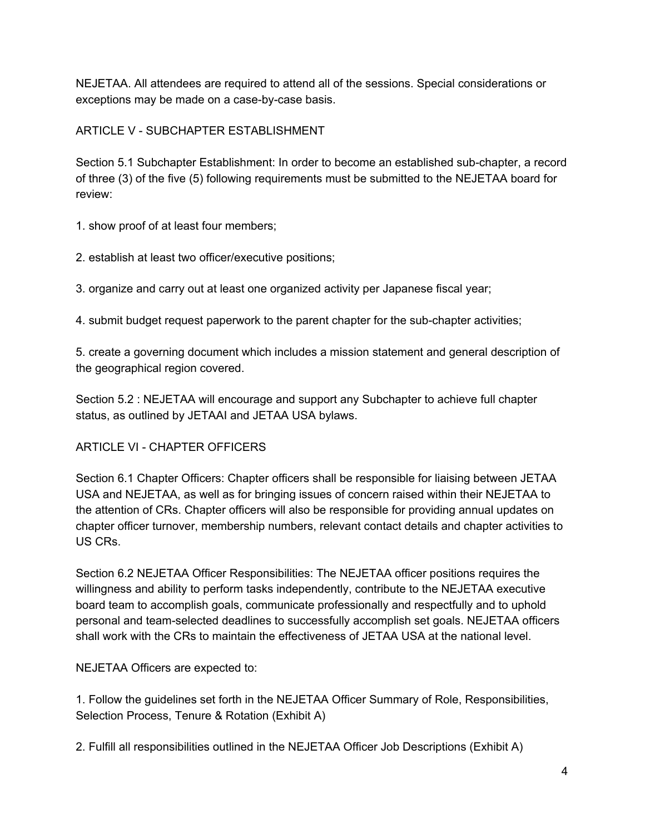NEJETAA. All attendees are required to attend all of the sessions. Special considerations or exceptions may be made on a case-by-case basis.

# ARTICLE V - SUBCHAPTER ESTABLISHMENT

Section 5.1 Subchapter Establishment: In order to become an established sub-chapter, a record of three (3) of the five (5) following requirements must be submitted to the NEJETAA board for review:

1. show proof of at least four members;

2. establish at least two officer/executive positions;

3. organize and carry out at least one organized activity per Japanese fiscal year;

4. submit budget request paperwork to the parent chapter for the sub-chapter activities;

5. create a governing document which includes a mission statement and general description of the geographical region covered.

Section 5.2 : NEJETAA will encourage and support any Subchapter to achieve full chapter status, as outlined by JETAAI and JETAA USA bylaws.

# **ARTICLE VI - CHAPTER OFFICERS**

Section 6.1 Chapter Officers: Chapter officers shall be responsible for liaising between JETAA USA and NEJETAA, as well as for bringing issues of concern raised within their NEJETAA to the attention of CRs. Chapter officers will also be responsible for providing annual updates on chapter officer turnover, membership numbers, relevant contact details and chapter activities to US CRs.

Section 6.2 NEJETAA Officer Responsibilities: The NEJETAA officer positions requires the willingness and ability to perform tasks independently, contribute to the NEJETAA executive board team to accomplish goals, communicate professionally and respectfully and to uphold personal and teamselected deadlines to successfully accomplish set goals. NEJETAA officers shall work with the CRs to maintain the effectiveness of JETAA USA at the national level.

NEJETAA Officers are expected to:

1. Follow the guidelines set forth in the NEJETAA Officer Summary of Role, Responsibilities, Selection Process, Tenure & Rotation (Exhibit A)

2. Fulfill all responsibilities outlined in the NEJETAA Officer Job Descriptions (Exhibit A)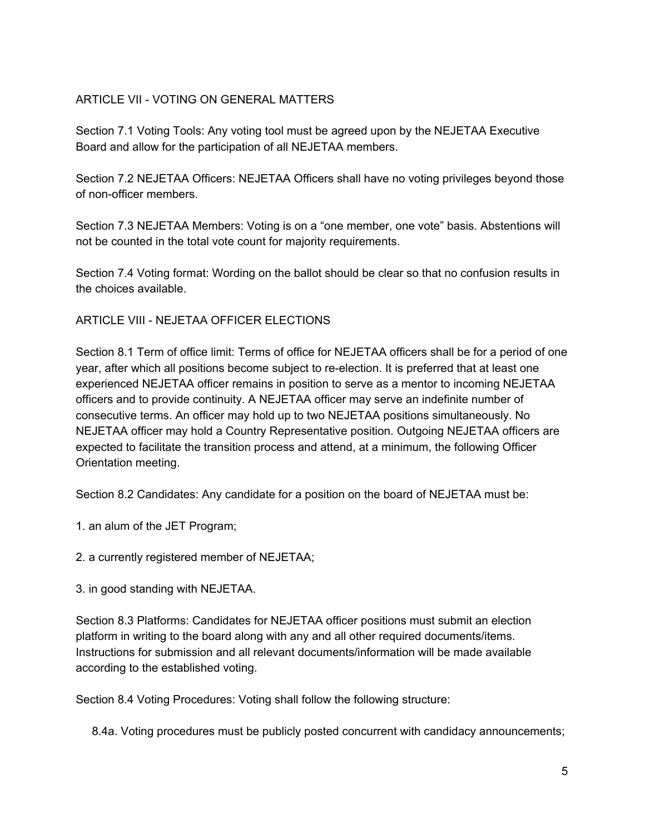## ARTICLE VII - VOTING ON GENERAL MATTERS

Section 7.1 Voting Tools: Any voting tool must be agreed upon by the NEJETAA Executive Board and allow for the participation of all NEJETAA members.

Section 7.2 NEJETAA Officers: NEJETAA Officers shall have no voting privileges beyond those of non-officer members.

Section 7.3 NEJETAA Members: Voting is on a "one member, one vote" basis. Abstentions will not be counted in the total vote count for majority requirements.

Section 7.4 Voting format: Wording on the ballot should be clear so that no confusion results in the choices available.

ARTICLE VIII - NEJETAA OFFICER ELECTIONS

Section 8.1 Term of office limit: Terms of office for NEJETAA officers shall be for a period of one year, after which all positions become subject to re-election. It is preferred that at least one experienced NEJETAA officer remains in position to serve as a mentor to incoming NEJETAA officers and to provide continuity. A NEJETAA officer may serve an indefinite number of consecutive terms. An officer may hold up to two NEJETAA positions simultaneously. No NEJETAA officer may hold a Country Representative position. Outgoing NEJETAA officers are expected to facilitate the transition process and attend, at a minimum, the following Officer Orientation meeting.

Section 8.2 Candidates: Any candidate for a position on the board of NEJETAA must be:

- 1. an alum of the JET Program;
- 2. a currently registered member of NEJETAA;
- 3. in good standing with NEJETAA.

Section 8.3 Platforms: Candidates for NEJETAA officer positions must submit an election platform in writing to the board along with any and all other required documents/items. Instructions for submission and all relevant documents/information will be made available according to the established voting.

Section 8.4 Voting Procedures: Voting shall follow the following structure:

8.4a. Voting procedures must be publicly posted concurrent with candidacy announcements;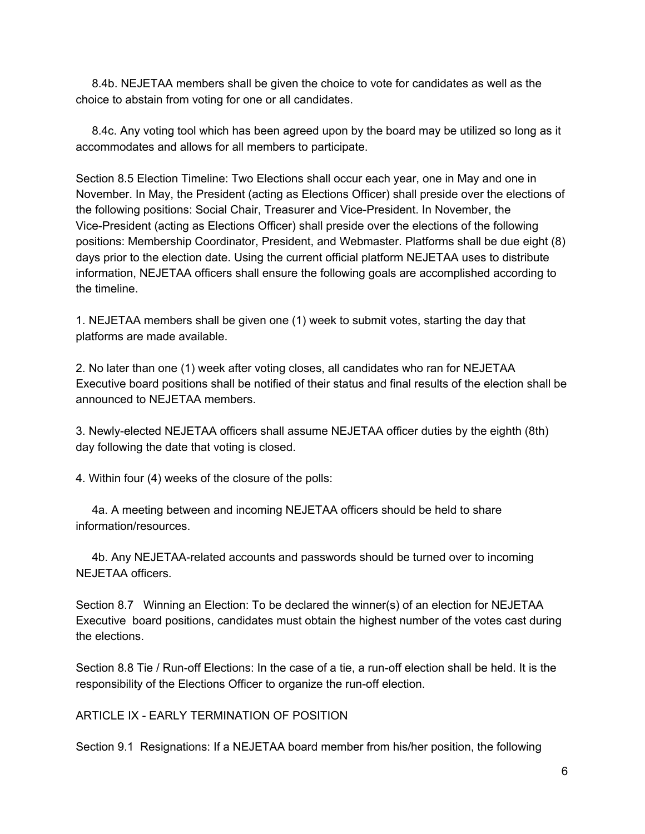8.4b. NEJETAA members shall be given the choice to vote for candidates as well as the choice to abstain from voting for one or all candidates.

8.4c. Any voting tool which has been agreed upon by the board may be utilized so long as it accommodates and allows for all members to participate.

Section 8.5 Election Timeline: Two Elections shall occur each year, one in May and one in November. In May, the President (acting as Elections Officer) shall preside over the elections of the following positions: Social Chair, Treasurer and Vice-President. In November, the Vice-President (acting as Elections Officer) shall preside over the elections of the following positions: Membership Coordinator, President, and Webmaster. Platforms shall be due eight (8) days prior to the election date. Using the current official platform NEJETAA uses to distribute information, NEJETAA officers shall ensure the following goals are accomplished according to the timeline.

1. NEJETAA members shall be given one (1) week to submit votes, starting the day that platforms are made available.

2. No later than one (1) week after voting closes, all candidates who ran for NEJETAA Executive board positions shall be notified of their status and final results of the election shall be announced to NEJETAA members.

3. Newlyelected NEJETAA officers shall assume NEJETAA officer duties by the eighth (8th) day following the date that voting is closed.

4. Within four (4) weeks of the closure of the polls:

4a. A meeting between and incoming NEJETAA officers should be held to share information/resources.

4b. Any NEJETAArelated accounts and passwords should be turned over to incoming NEJETAA officers.

Section 8.7 Winning an Election: To be declared the winner(s) of an election for NEJETAA Executive board positions, candidates must obtain the highest number of the votes cast during the elections.

Section 8.8 Tie / Run-off Elections: In the case of a tie, a run-off election shall be held. It is the responsibility of the Elections Officer to organize the run-off election.

ARTICLE IX EARLY TERMINATION OF POSITION

Section 9.1 Resignations: If a NEJETAA board member from his/her position, the following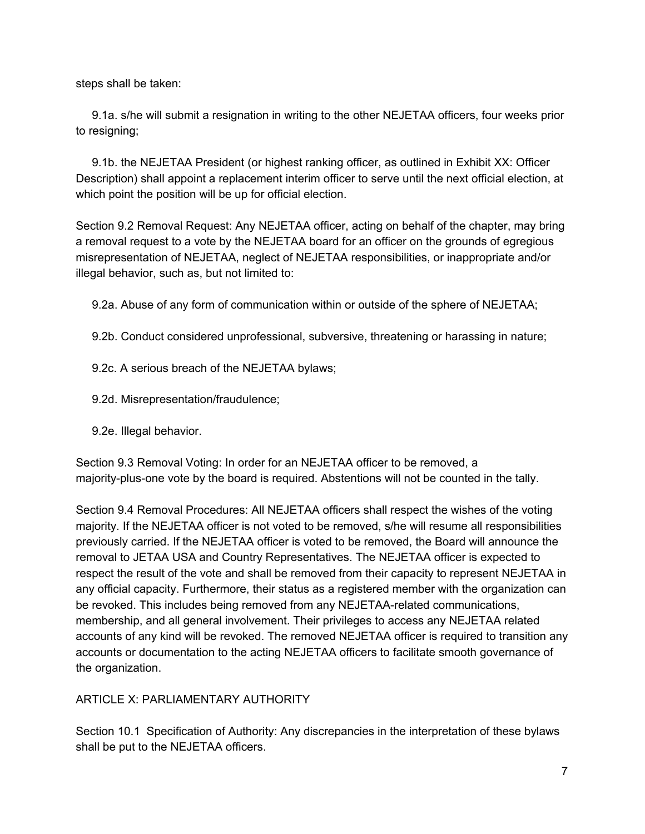steps shall be taken:

9.1a. s/he will submit a resignation in writing to the other NEJETAA officers, four weeks prior to resigning;

9.1b. the NEJETAA President (or highest ranking officer, as outlined in Exhibit XX: Officer Description) shall appoint a replacement interim officer to serve until the next official election, at which point the position will be up for official election.

Section 9.2 Removal Request: Any NEJETAA officer, acting on behalf of the chapter, may bring a removal request to a vote by the NEJETAA board for an officer on the grounds of egregious misrepresentation of NEJETAA, neglect of NEJETAA responsibilities, or inappropriate and/or illegal behavior, such as, but not limited to:

9.2a. Abuse of any form of communication within or outside of the sphere of NEJETAA;

- 9.2b. Conduct considered unprofessional, subversive, threatening or harassing in nature;
- 9.2c. A serious breach of the NEJETAA bylaws;
- 9.2d. Misrepresentation/fraudulence;
- 9.2e. Illegal behavior.

Section 9.3 Removal Voting: In order for an NEJETAA officer to be removed, a majority-plus-one vote by the board is required. Abstentions will not be counted in the tally.

Section 9.4 Removal Procedures: All NEJETAA officers shall respect the wishes of the voting majority. If the NEJETAA officer is not voted to be removed, s/he will resume all responsibilities previously carried. If the NEJETAA officer is voted to be removed, the Board will announce the removal to JETAA USA and Country Representatives. The NEJETAA officer is expected to respect the result of the vote and shall be removed from their capacity to represent NEJETAA in any official capacity. Furthermore, their status as a registered member with the organization can be revoked. This includes being removed from any NEJETAA-related communications, membership, and all general involvement. Their privileges to access any NEJETAA related accounts of any kind will be revoked. The removed NEJETAA officer is required to transition any accounts or documentation to the acting NEJETAA officers to facilitate smooth governance of the organization.

### ARTICLE X: PARLIAMENTARY AUTHORITY

Section 10.1 Specification of Authority: Any discrepancies in the interpretation of these bylaws shall be put to the NEJETAA officers.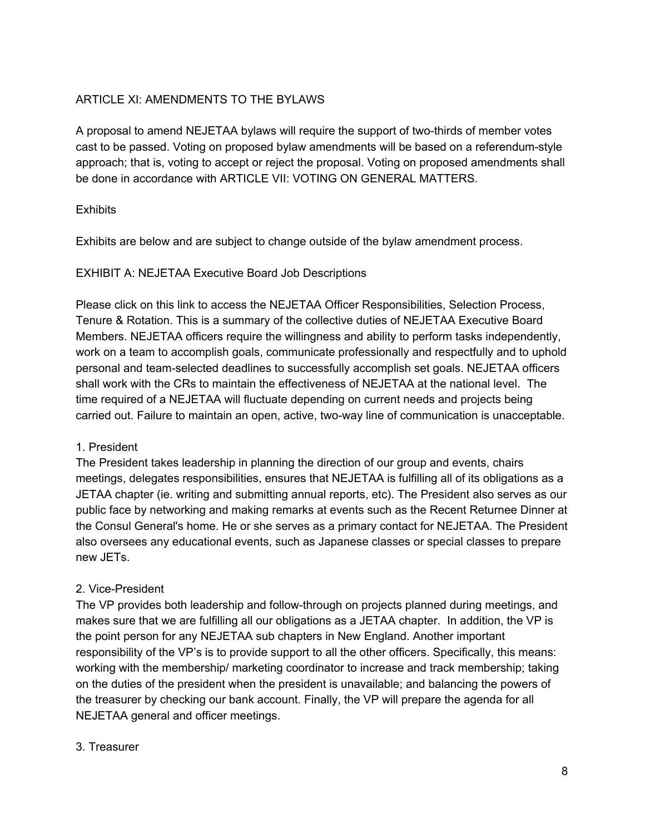## ARTICLE XI: AMENDMENTS TO THE BYLAWS

A proposal to amend NEJETAA bylaws will require the support of two-thirds of member votes cast to be passed. Voting on proposed bylaw amendments will be based on a referendum-style approach; that is, voting to accept or reject the proposal. Voting on proposed amendments shall be done in accordance with ARTICLE VII: VOTING ON GENERAL MATTERS.

### **Exhibits**

Exhibits are below and are subject to change outside of the bylaw amendment process.

#### EXHIBIT A: NEJETAA Executive Board Job Descriptions

Please click on this link to access the NEJETAA Officer Responsibilities, Selection Process, Tenure & Rotation. This is a summary of the collective duties of NEJETAA Executive Board Members. NEJETAA officers require the willingness and ability to perform tasks independently, work on a team to accomplish goals, communicate professionally and respectfully and to uphold personal and teamselected deadlines to successfully accomplish set goals. NEJETAA officers shall work with the CRs to maintain the effectiveness of NEJETAA at the national level. The time required of a NEJETAA will fluctuate depending on current needs and projects being carried out. Failure to maintain an open, active, two-way line of communication is unacceptable.

### 1. President

The President takes leadership in planning the direction of our group and events, chairs meetings, delegates responsibilities, ensures that NEJETAA is fulfilling all of its obligations as a JETAA chapter (ie. writing and submitting annual reports, etc). The President also serves as our public face by networking and making remarks at events such as the Recent Returnee Dinner at the Consul General's home. He or she serves as a primary contact for NEJETAA. The President also oversees any educational events, such as Japanese classes or special classes to prepare new JETs.

### 2. Vice-President

The VP provides both leadership and follow-through on projects planned during meetings, and makes sure that we are fulfilling all our obligations as a JETAA chapter. In addition, the VP is the point person for any NEJETAA sub chapters in New England. Another important responsibility of the VP's is to provide support to all the other officers. Specifically, this means: working with the membership/ marketing coordinator to increase and track membership; taking on the duties of the president when the president is unavailable; and balancing the powers of the treasurer by checking our bank account. Finally, the VP will prepare the agenda for all NEJETAA general and officer meetings.

#### 3. Treasurer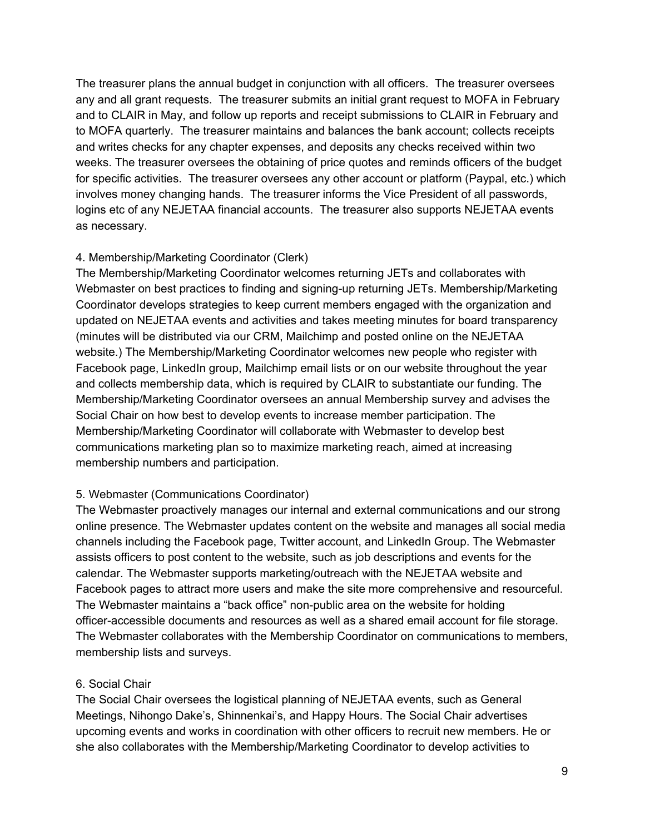The treasurer plans the annual budget in conjunction with all officers. The treasurer oversees any and all grant requests. The treasurer submits an initial grant request to MOFA in February and to CLAIR in May, and follow up reports and receipt submissions to CLAIR in February and to MOFA quarterly. The treasurer maintains and balances the bank account; collects receipts and writes checks for any chapter expenses, and deposits any checks received within two weeks. The treasurer oversees the obtaining of price quotes and reminds officers of the budget for specific activities. The treasurer oversees any other account or platform (Paypal, etc.) which involves money changing hands. The treasurer informs the Vice President of all passwords, logins etc of any NEJETAA financial accounts. The treasurer also supports NEJETAA events as necessary.

### 4. Membership/Marketing Coordinator (Clerk)

The Membership/Marketing Coordinator welcomes returning JETs and collaborates with Webmaster on best practices to finding and signing-up returning JETs. Membership/Marketing Coordinator develops strategies to keep current members engaged with the organization and updated on NEJETAA events and activities and takes meeting minutes for board transparency (minutes will be distributed via our CRM, Mailchimp and posted online on the NEJETAA website.) The Membership/Marketing Coordinator welcomes new people who register with Facebook page, LinkedIn group, Mailchimp email lists or on our website throughout the year and collects membership data, which is required by CLAIR to substantiate our funding. The Membership/Marketing Coordinator oversees an annual Membership survey and advises the Social Chair on how best to develop events to increase member participation. The Membership/Marketing Coordinator will collaborate with Webmaster to develop best communications marketing plan so to maximize marketing reach, aimed at increasing membership numbers and participation.

### 5. Webmaster (Communications Coordinator)

The Webmaster proactively manages our internal and external communications and our strong online presence. The Webmaster updates content on the website and manages all social media channels including the Facebook page, Twitter account, and LinkedIn Group. The Webmaster assists officers to post content to the website, such as job descriptions and events for the calendar. The Webmaster supports marketing/outreach with the NEJETAA website and Facebook pages to attract more users and make the site more comprehensive and resourceful. The Webmaster maintains a "back office" non-public area on the website for holding officer-accessible documents and resources as well as a shared email account for file storage. The Webmaster collaborates with the Membership Coordinator on communications to members, membership lists and surveys.

### 6. Social Chair

The Social Chair oversees the logistical planning of NEJETAA events, such as General Meetings, Nihongo Dake's, Shinnenkai's, and Happy Hours. The Social Chair advertises upcoming events and works in coordination with other officers to recruit new members. He or she also collaborates with the Membership/Marketing Coordinator to develop activities to